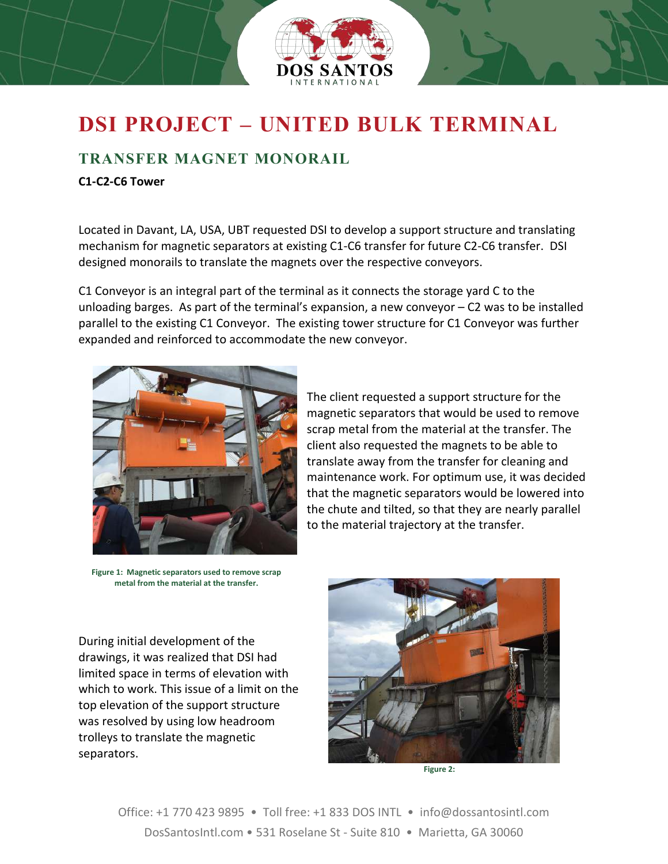

## **DSI PROJECT – UNITED BULK TERMINAL**

## **TRANSFER MAGNET MONORAIL**

## **C1-C2-C6 Tower**

Located in Davant, LA, USA, UBT requested DSI to develop a support structure and translating mechanism for magnetic separators at existing C1-C6 transfer for future C2-C6 transfer. DSI designed monorails to translate the magnets over the respective conveyors.

C1 Conveyor is an integral part of the terminal as it connects the storage yard C to the unloading barges. As part of the terminal's expansion, a new conveyor – C2 was to be installed parallel to the existing C1 Conveyor. The existing tower structure for C1 Conveyor was further expanded and reinforced to accommodate the new conveyor.



The client requested a support structure for the magnetic separators that would be used to remove scrap metal from the material at the transfer. The client also requested the magnets to be able to translate away from the transfer for cleaning and maintenance work. For optimum use, it was decided that the magnetic separators would be lowered into the chute and tilted, so that they are nearly parallel to the material trajectory at the transfer.

**Figure 1: Magnetic separators used to remove scrap metal from the material at the transfer.**

During initial development of the drawings, it was realized that DSI had limited space in terms of elevation with which to work. This issue of a limit on the top elevation of the support structure was resolved by using low headroom trolleys to translate the magnetic separators.



**Figure 2:**

Office: +1 770 423 9895 • Toll free: +1 833 DOS INTL • info@dossantosintl.com DosSantosIntl.com • 531 Roselane St - Suite 810 • Marietta, GA 30060